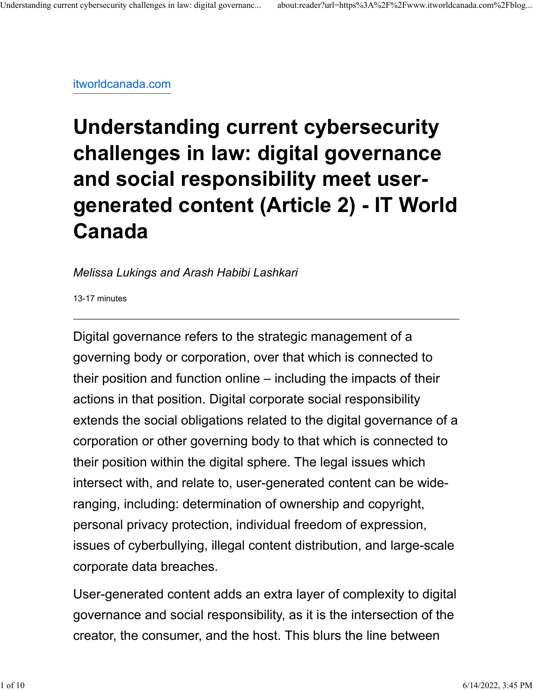[itworldcanada.com](https://www.itworldcanada.com/blog/understanding-current-cybersecurity-challenges-in-law-digital-governance-and-social-responsibility-meet-user-generated-content-article-2/482543)

# **Understanding current cybersecurity challenges in law: digital governance and social responsibility meet usergenerated content (Article 2) - IT World Canada**

#### *Melissa Lukings and Arash Habibi Lashkari*

13-17 minutes

Digital governance refers to the strategic management of a governing body or corporation, over that which is connected to their position and function online – including the impacts of their actions in that position. Digital corporate social responsibility extends the social obligations related to the digital governance of a corporation or other governing body to that which is connected to their position within the digital sphere. The legal issues which intersect with, and relate to, user-generated content can be wideranging, including: determination of ownership and copyright, personal privacy protection, individual freedom of expression, issues of cyberbullying, illegal content distribution, and large-scale corporate data breaches.

User-generated content adds an extra layer of complexity to digital governance and social responsibility, as it is the intersection of the creator, the consumer, and the host. This blurs the line between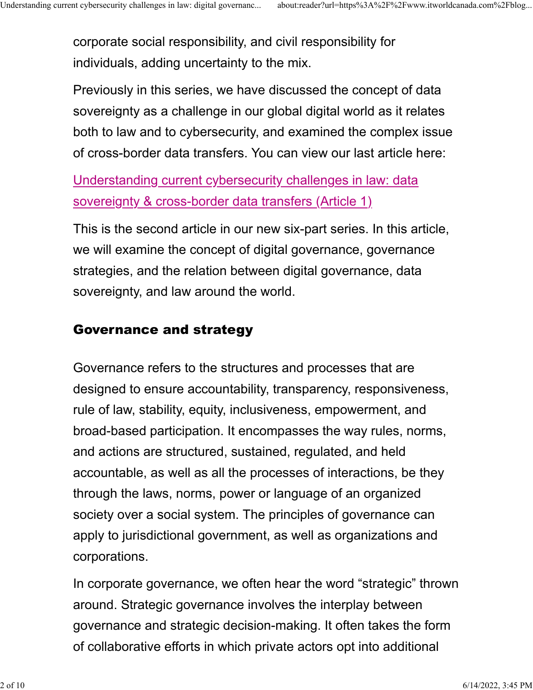corporate social responsibility, and civil responsibility for individuals, adding uncertainty to the mix.

Previously in this series, we have discussed the concept of data sovereignty as a challenge in our global digital world as it relates both to law and to cybersecurity, and examined the complex issue of cross-border data transfers. You can view our last article here:

[Understanding current cybersecurity challenges in law: data](https://www.itworldcanada.com/blog/understanding-current-cybersecurity-challenges-in-law-data-sovereignty-cross-border-data-transfers/478231) [sovereignty & cross-border data transfers \(Article 1\)](https://www.itworldcanada.com/blog/understanding-current-cybersecurity-challenges-in-law-data-sovereignty-cross-border-data-transfers/478231)

This is the second article in our new six-part series. In this article, we will examine the concept of digital governance, governance strategies, and the relation between digital governance, data sovereignty, and law around the world.

# Governance and strategy

Governance refers to the structures and processes that are designed to ensure accountability, transparency, responsiveness, rule of law, stability, equity, inclusiveness, empowerment, and broad-based participation. It encompasses the way rules, norms, and actions are structured, sustained, regulated, and held accountable, as well as all the processes of interactions, be they through the laws, norms, power or language of an organized society over a social system. The principles of governance can apply to jurisdictional government, as well as organizations and corporations.

In corporate governance, we often hear the word "strategic" thrown around. Strategic governance involves the interplay between governance and strategic decision-making. It often takes the form of collaborative efforts in which private actors opt into additional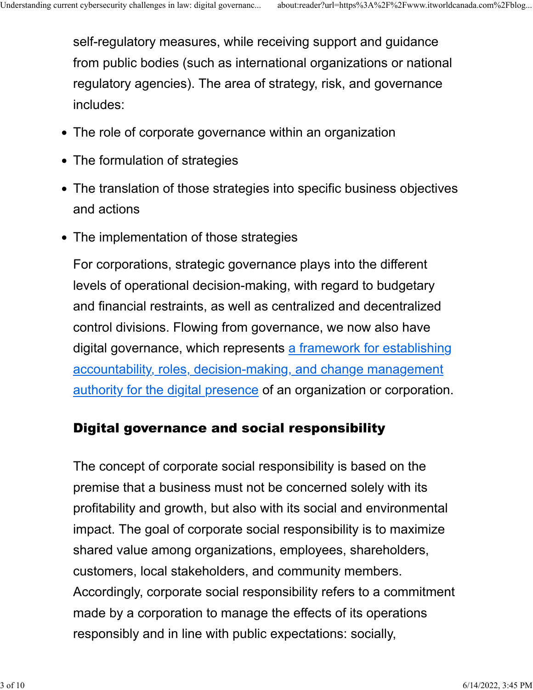self-regulatory measures, while receiving support and guidance from public bodies (such as international organizations or national regulatory agencies). The area of strategy, risk, and governance includes:

- The role of corporate governance within an organization
- The formulation of strategies
- The translation of those strategies into specific business objectives and actions
- The implementation of those strategies

For corporations, strategic governance plays into the different levels of operational decision-making, with regard to budgetary and financial restraints, as well as centralized and decentralized control divisions. Flowing from governance, we now also have digital governance, which represents [a framework for establishing](https://catalyst.concentrix.com/blog/2021/09/digital-governance-framework/#:~:text=Digital%20governance%20is%20a%20framework,and%20ensures%20digital%20business%20maturity.) [accountability, roles, decision-making, and change management](https://catalyst.concentrix.com/blog/2021/09/digital-governance-framework/#:~:text=Digital%20governance%20is%20a%20framework,and%20ensures%20digital%20business%20maturity.) [authority for the digital presence](https://catalyst.concentrix.com/blog/2021/09/digital-governance-framework/#:~:text=Digital%20governance%20is%20a%20framework,and%20ensures%20digital%20business%20maturity.) of an organization or corporation.

# Digital governance and social responsibility

The concept of corporate social responsibility is based on the premise that a business must not be concerned solely with its profitability and growth, but also with its social and environmental impact. The goal of corporate social responsibility is to maximize shared value among organizations, employees, shareholders, customers, local stakeholders, and community members. Accordingly, corporate social responsibility refers to a commitment made by a corporation to manage the effects of its operations responsibly and in line with public expectations: socially,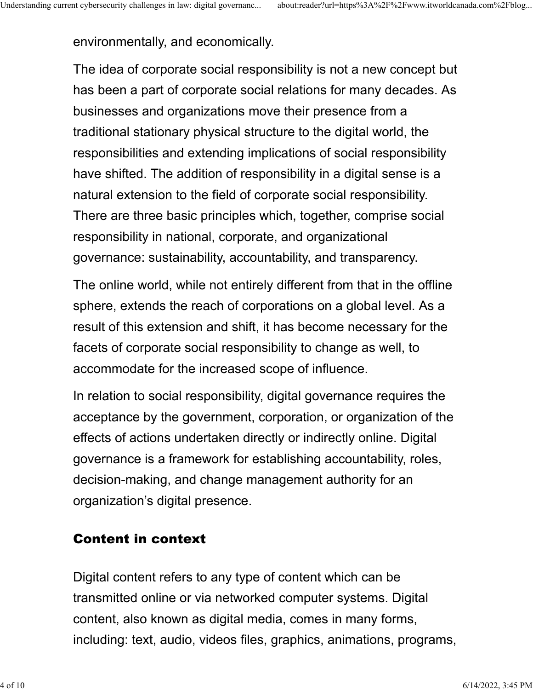environmentally, and economically.

The idea of corporate social responsibility is not a new concept but has been a part of corporate social relations for many decades. As businesses and organizations move their presence from a traditional stationary physical structure to the digital world, the responsibilities and extending implications of social responsibility have shifted. The addition of responsibility in a digital sense is a natural extension to the field of corporate social responsibility. There are three basic principles which, together, comprise social responsibility in national, corporate, and organizational governance: sustainability, accountability, and transparency.

The online world, while not entirely different from that in the offline sphere, extends the reach of corporations on a global level. As a result of this extension and shift, it has become necessary for the facets of corporate social responsibility to change as well, to accommodate for the increased scope of influence.

In relation to social responsibility, digital governance requires the acceptance by the government, corporation, or organization of the effects of actions undertaken directly or indirectly online. Digital governance is a framework for establishing accountability, roles, decision-making, and change management authority for an organization's digital presence.

# Content in context

Digital content refers to any type of content which can be transmitted online or via networked computer systems. Digital content, also known as digital media, comes in many forms, including: text, audio, videos files, graphics, animations, programs,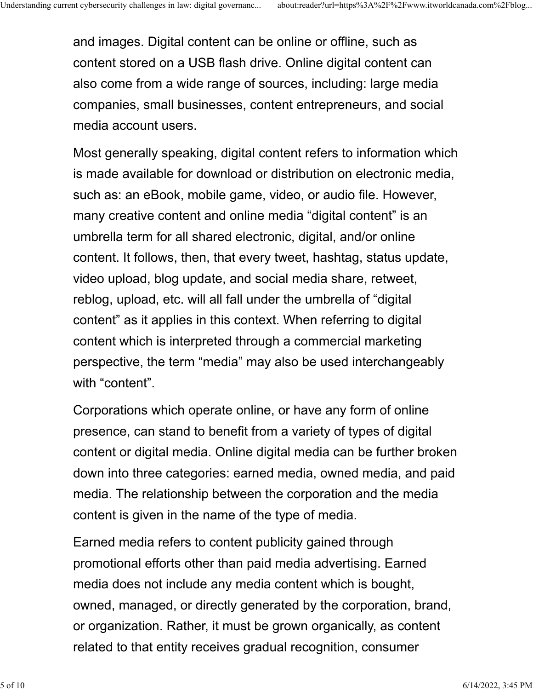and images. Digital content can be online or offline, such as content stored on a USB flash drive. Online digital content can also come from a wide range of sources, including: large media companies, small businesses, content entrepreneurs, and social media account users.

Most generally speaking, digital content refers to information which is made available for download or distribution on electronic media, such as: an eBook, mobile game, video, or audio file. However, many creative content and online media "digital content" is an umbrella term for all shared electronic, digital, and/or online content. It follows, then, that every tweet, hashtag, status update, video upload, blog update, and social media share, retweet, reblog, upload, etc. will all fall under the umbrella of "digital content" as it applies in this context. When referring to digital content which is interpreted through a commercial marketing perspective, the term "media" may also be used interchangeably with "content".

Corporations which operate online, or have any form of online presence, can stand to benefit from a variety of types of digital content or digital media. Online digital media can be further broken down into three categories: earned media, owned media, and paid media. The relationship between the corporation and the media content is given in the name of the type of media.

Earned media refers to content publicity gained through promotional efforts other than paid media advertising. Earned media does not include any media content which is bought, owned, managed, or directly generated by the corporation, brand, or organization. Rather, it must be grown organically, as content related to that entity receives gradual recognition, consumer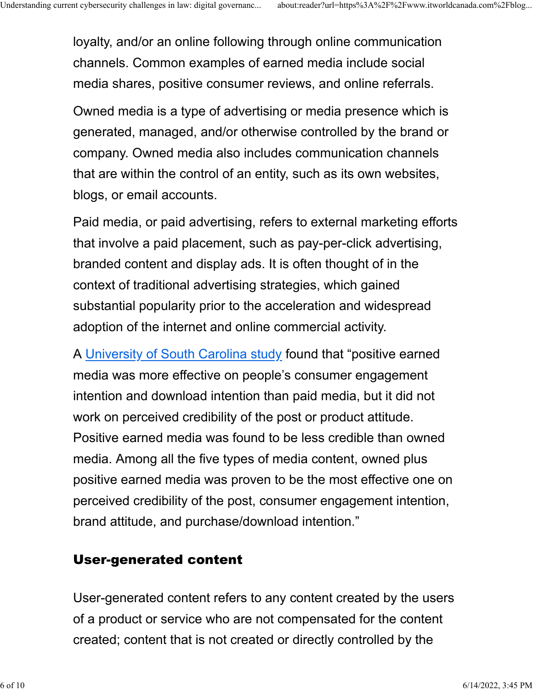loyalty, and/or an online following through online communication channels. Common examples of earned media include social media shares, positive consumer reviews, and online referrals.

Owned media is a type of advertising or media presence which is generated, managed, and/or otherwise controlled by the brand or company. Owned media also includes communication channels that are within the control of an entity, such as its own websites, blogs, or email accounts.

Paid media, or paid advertising, refers to external marketing efforts that involve a paid placement, such as pay-per-click advertising, branded content and display ads. It is often thought of in the context of traditional advertising strategies, which gained substantial popularity prior to the acceleration and widespread adoption of the internet and online commercial activity.

A [University of South Carolina study](https://scholarcommons.sc.edu/cgi/viewcontent.cgi?article=6321&context=etd) found that "positive earned media was more effective on people's consumer engagement intention and download intention than paid media, but it did not work on perceived credibility of the post or product attitude. Positive earned media was found to be less credible than owned media. Among all the five types of media content, owned plus positive earned media was proven to be the most effective one on perceived credibility of the post, consumer engagement intention, brand attitude, and purchase/download intention."

# User-generated content

User-generated content refers to any content created by the users of a product or service who are not compensated for the content created; content that is not created or directly controlled by the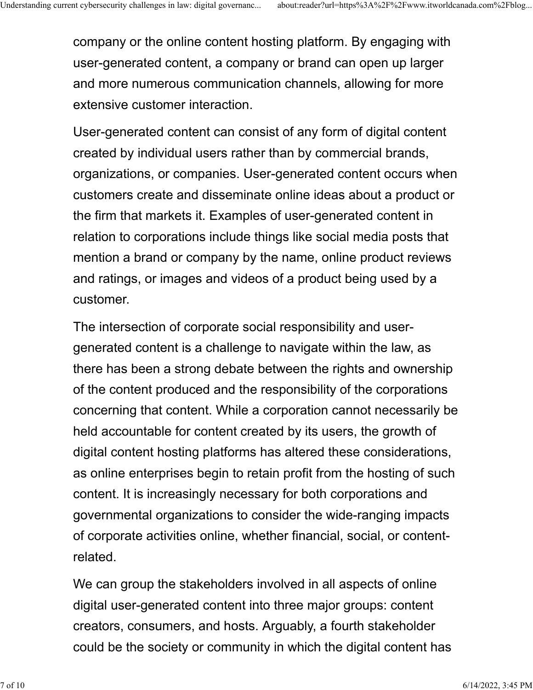company or the online content hosting platform. By engaging with user-generated content, a company or brand can open up larger and more numerous communication channels, allowing for more extensive customer interaction.

User-generated content can consist of any form of digital content created by individual users rather than by commercial brands, organizations, or companies. User-generated content occurs when customers create and disseminate online ideas about a product or the firm that markets it. Examples of user-generated content in relation to corporations include things like social media posts that mention a brand or company by the name, online product reviews and ratings, or images and videos of a product being used by a customer.

The intersection of corporate social responsibility and usergenerated content is a challenge to navigate within the law, as there has been a strong debate between the rights and ownership of the content produced and the responsibility of the corporations concerning that content. While a corporation cannot necessarily be held accountable for content created by its users, the growth of digital content hosting platforms has altered these considerations, as online enterprises begin to retain profit from the hosting of such content. It is increasingly necessary for both corporations and governmental organizations to consider the wide-ranging impacts of corporate activities online, whether financial, social, or contentrelated.

We can group the stakeholders involved in all aspects of online digital user-generated content into three major groups: content creators, consumers, and hosts. Arguably, a fourth stakeholder could be the society or community in which the digital content has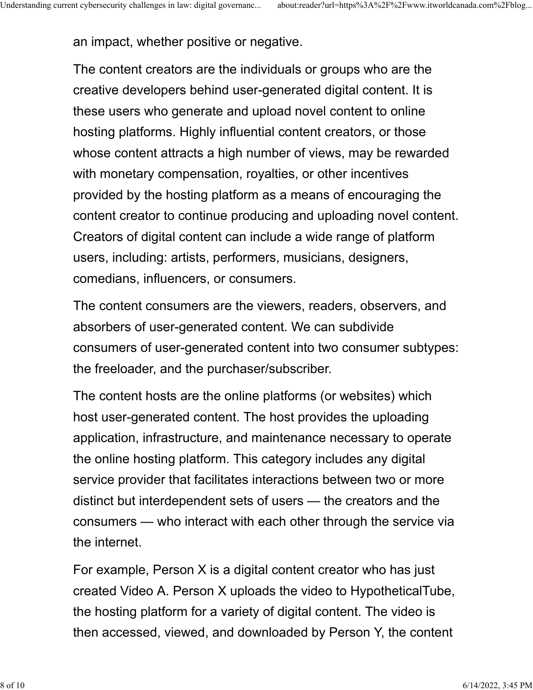an impact, whether positive or negative.

The content creators are the individuals or groups who are the creative developers behind user-generated digital content. It is these users who generate and upload novel content to online hosting platforms. Highly influential content creators, or those whose content attracts a high number of views, may be rewarded with monetary compensation, royalties, or other incentives provided by the hosting platform as a means of encouraging the content creator to continue producing and uploading novel content. Creators of digital content can include a wide range of platform users, including: artists, performers, musicians, designers, comedians, influencers, or consumers.

The content consumers are the viewers, readers, observers, and absorbers of user-generated content. We can subdivide consumers of user-generated content into two consumer subtypes: the freeloader, and the purchaser/subscriber.

The content hosts are the online platforms (or websites) which host user-generated content. The host provides the uploading application, infrastructure, and maintenance necessary to operate the online hosting platform. This category includes any digital service provider that facilitates interactions between two or more distinct but interdependent sets of users — the creators and the consumers — who interact with each other through the service via the internet.

For example, Person X is a digital content creator who has just created Video A. Person X uploads the video to HypotheticalTube, the hosting platform for a variety of digital content. The video is then accessed, viewed, and downloaded by Person Y, the content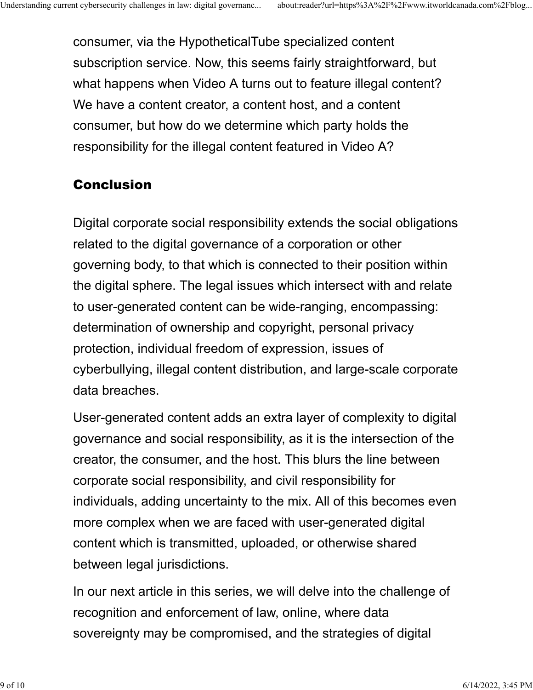consumer, via the HypotheticalTube specialized content subscription service. Now, this seems fairly straightforward, but what happens when Video A turns out to feature illegal content? We have a content creator, a content host, and a content consumer, but how do we determine which party holds the responsibility for the illegal content featured in Video A?

# Conclusion

Digital corporate social responsibility extends the social obligations related to the digital governance of a corporation or other governing body, to that which is connected to their position within the digital sphere. The legal issues which intersect with and relate to user-generated content can be wide-ranging, encompassing: determination of ownership and copyright, personal privacy protection, individual freedom of expression, issues of cyberbullying, illegal content distribution, and large-scale corporate data breaches.

User-generated content adds an extra layer of complexity to digital governance and social responsibility, as it is the intersection of the creator, the consumer, and the host. This blurs the line between corporate social responsibility, and civil responsibility for individuals, adding uncertainty to the mix. All of this becomes even more complex when we are faced with user-generated digital content which is transmitted, uploaded, or otherwise shared between legal jurisdictions.

In our next article in this series, we will delve into the challenge of recognition and enforcement of law, online, where data sovereignty may be compromised, and the strategies of digital